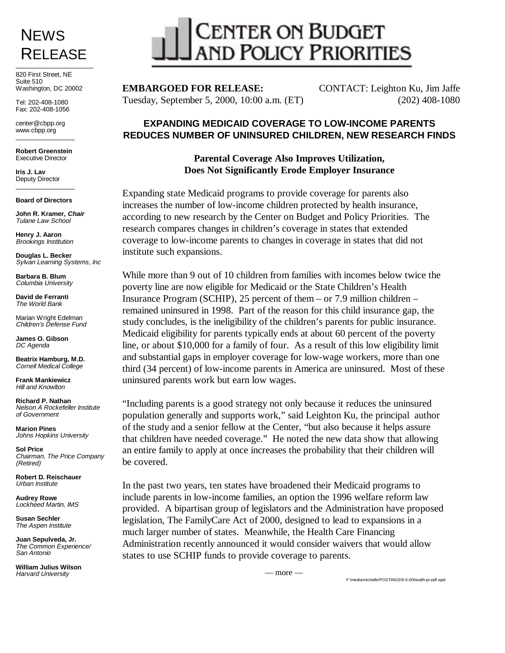## **NEWS** RELEASE

820 First Street, NE Suite 510 Washington, DC 20002

Tel: 202-408-1080 Fax: 202-408-1056

center@cbpp.org www.cbpp.org

**Robert Greenstein** Executive Director

**Iris J. Lav** Deputy Director

#### **Board of Directors**

**John R. Kramer, Chair** Tulane Law School

**Henry J. Aaron** Brookings Institution

**Douglas L. Becker** Sylvan Learning Systems, Inc

**Barbara B. Blum** Columbia University

**David de Ferranti** The World Bank

Marian Wright Edelman Children's Defense Fund

**James O. Gibson** DC Agenda

**Beatrix Hamburg, M.D.** Cornell Medical College

**Frank Mankiewicz** Hill and Knowlton

**Richard P. Nathan** Nelson A Rockefeller Institute of Government

**Marion Pines** Johns Hopkins University

**Sol Price** Chairman, The Price Company (Retired)

**Robert D. Reischauer** Urban Institute

**Audrey Rowe** Lockheed Martin, IMS

**Susan Sechler** The Aspen Institute

**Juan Sepulveda, Jr.** The Common Experience/ San Antonio

**William Julius Wilson** Harvard University

# CENTER ON BUDGET<br>AND POLICY PRIORITIES

Tuesday, September 5, 2000, 10:00 a.m. (ET) (202) 408-1080

**EMBARGOED FOR RELEASE:** CONTACT: Leighton Ku, Jim Jaffe

### **EXPANDING MEDICAID COVERAGE TO LOW-INCOME PARENTS REDUCES NUMBER OF UNINSURED CHILDREN, NEW RESEARCH FINDS**

### **Parental Coverage Also Improves Utilization, Does Not Significantly Erode Employer Insurance**

Expanding state Medicaid programs to provide coverage for parents also increases the number of low-income children protected by health insurance, according to new research by the Center on Budget and Policy Priorities. The research compares changes in children's coverage in states that extended coverage to low-income parents to changes in coverage in states that did not institute such expansions.

While more than 9 out of 10 children from families with incomes below twice the poverty line are now eligible for Medicaid or the State Children's Health Insurance Program (SCHIP), 25 percent of them – or 7.9 million children – remained uninsured in 1998. Part of the reason for this child insurance gap, the study concludes, is the ineligibility of the children's parents for public insurance. Medicaid eligibility for parents typically ends at about 60 percent of the poverty line, or about \$10,000 for a family of four. As a result of this low eligibility limit and substantial gaps in employer coverage for low-wage workers, more than one third (34 percent) of low-income parents in America are uninsured. Most of these uninsured parents work but earn low wages.

"Including parents is a good strategy not only because it reduces the uninsured population generally and supports work," said Leighton Ku, the principal author of the study and a senior fellow at the Center, "but also because it helps assure that children have needed coverage." He noted the new data show that allowing an entire family to apply at once increases the probability that their children will be covered.

In the past two years, ten states have broadened their Medicaid programs to include parents in low-income families, an option the 1996 welfare reform law provided. A bipartisan group of legislators and the Administration have proposed legislation, The FamilyCare Act of 2000, designed to lead to expansions in a much larger number of states. Meanwhile, the Health Care Financing Administration recently announced it would consider waivers that would allow states to use SCHIP funds to provide coverage to parents.

— more —